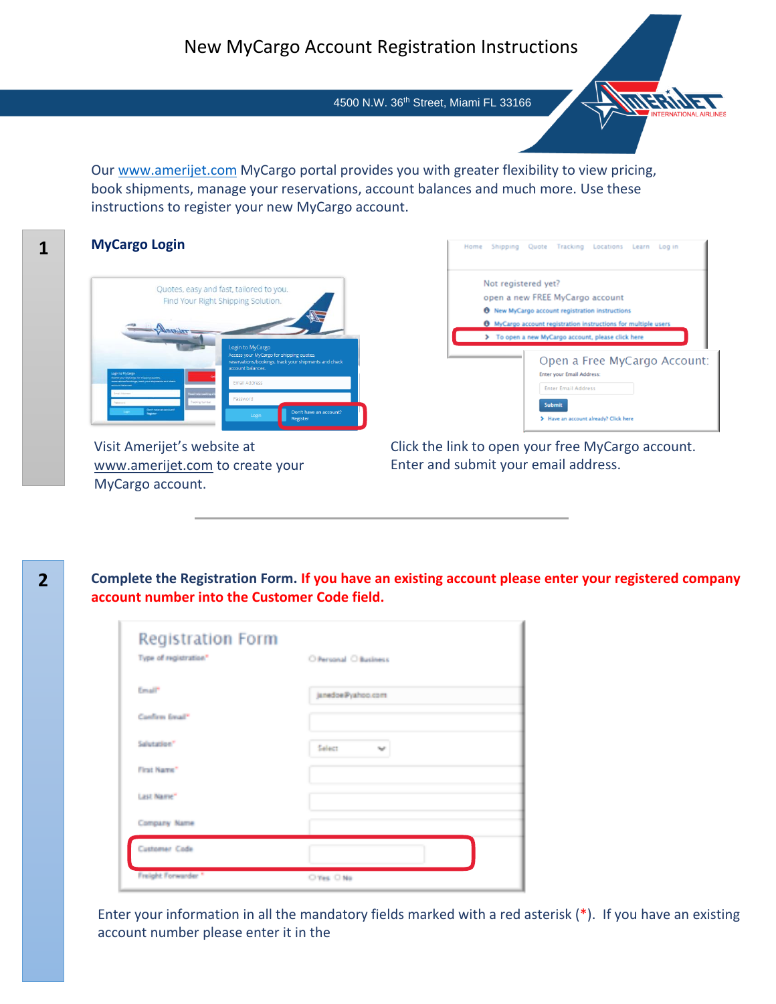# New MyCargo Account Registration Instructions

4500 N.W. 36<sup>th</sup> Street, Miami FL 33166

Our [www.amerijet.com](http://www.amerijet.com/) MyCargo portal provides you with greater flexibility to view pricing, book shipments, manage your reservations, account balances and much more. Use these instructions to register your new MyCargo account.

#### **MyCargo Login**



Visit Amerijet's website at [www.amerijet.com](http://www.amerijet.com/) to create your MyCargo account.

Click the link to open your free MyCargo account. Enter and submit your email address.

Not registered yet?

Home Shipping Quote Tracking Locations Learn Login

open a new FREE MyCargo account

**0** New MyCargo account registration instructions 6 MyCargo account registration insti

> To open a new MyCargo account, please click here

Enter your Email Address: Enter Email Address Submit

Have an account already? Click here

Open a Free MyCargo Account:

*HEIM* 

**Complete the Registration Form. If you have an existing account please enter your registered company account number into the Customer Code field.**

| Registration Form<br>Type of registration" | O Personal O Business  |
|--------------------------------------------|------------------------|
| <b>Consult"</b>                            | janedoe@yahoo.com      |
| Conform Imail*                             |                        |
| Salutation"                                | Select<br><b>Sept.</b> |
| First Name"                                |                        |
| Last Name"                                 |                        |
| Company Name                               |                        |
| Customer Code                              |                        |
| Freight Forwarder."                        | O'Yes, O No.           |

Enter your information in all the mandatory fields marked with a red asterisk (\*). If you have an existing account number please enter it in the

**1**